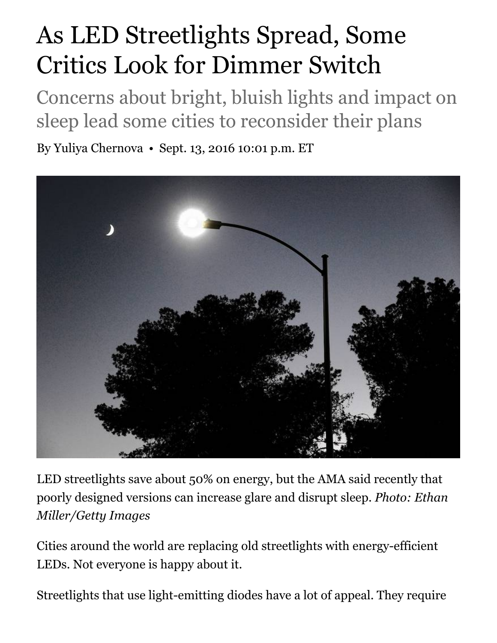## As LED Streetlights Spread, Some Critics Look for Dimmer Switch

Concerns about bright, bluish lights and impact on sleep lead some cities to reconsider their plans

By Yuliya Chernova • Sept. 13, 2016 10:01 p.m. ET



LED streetlights save about 50% on energy, but the AMA said recently that poorly designed versions can increase glare and disrupt sleep. *Photo: Ethan Miller/Getty Images*

Cities around the world are replacing old streetlights with energy-efficient LEDs. Not everyone is happy about it.

Streetlights that use light-emitting diodes have a lot of appeal. They require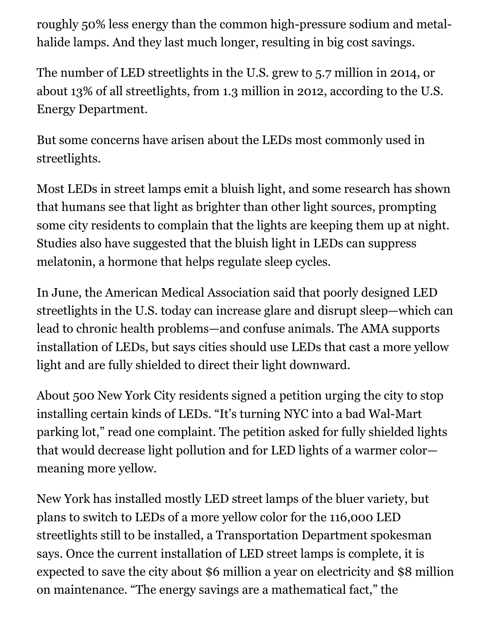roughly 50% less energy than the common high-pressure sodium and metalhalide lamps. And they last much longer, resulting in big cost savings.

The number of LED streetlights in the U.S. grew to 5.7 million in 2014, or about 13% of all streetlights, from 1.3 million in 2012, according to the U.S. Energy Department.

But some concerns have arisen about the LEDs most commonly used in streetlights.

Most LEDs in street lamps emit a bluish light, and some research has shown that humans see that light as brighter than other light sources, prompting some city residents to complain that the lights are keeping them up at night. Studies also have suggested that the bluish light in LEDs can suppress melatonin, a hormone that helps regulate sleep cycles.

In June, the American Medical Association said that poorly designed LED streetlights in the U.S. today can increase glare and disrupt sleep—which can lead to chronic health problems—and confuse animals. The AMA supports installation of LEDs, but says cities should use LEDs that cast a more yellow light and are fully shielded to direct their light downward.

About 500 New York City residents signed a petition urging the city to stop installing certain kinds of LEDs. "It's turning NYC into a bad Wal-Mart parking lot," read one complaint. The petition asked for fully shielded lights that would decrease light pollution and for LED lights of a warmer color meaning more yellow.

New York has installed mostly LED street lamps of the bluer variety, but plans to switch to LEDs of a more yellow color for the 116,000 LED streetlights still to be installed, a Transportation Department spokesman says. Once the current installation of LED street lamps is complete, it is expected to save the city about \$6 million a year on electricity and \$8 million on maintenance. "The energy savings are a mathematical fact," the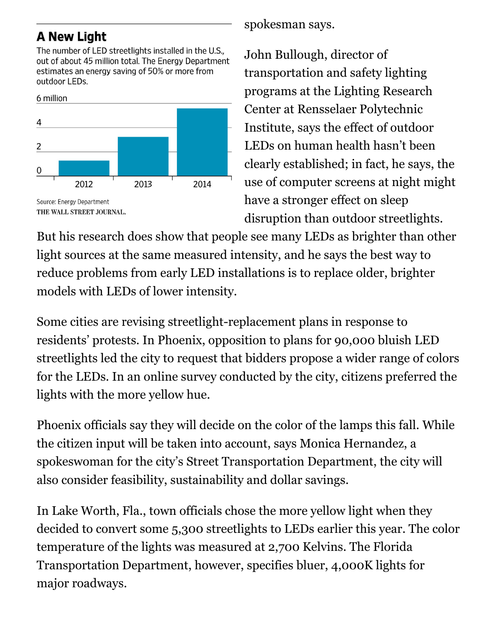## **A New Light**

The number of LED streetlights installed in the U.S.. out of about 45 million total. The Energy Department estimates an energy saving of 50% or more from outdoor LEDs.



spokesman says.

John Bullough, director of transportation and safety lighting programs at the Lighting Research Center at Rensselaer Polytechnic Institute, says the effect of outdoor LEDs on human health hasn't been clearly established; in fact, he says, the use of computer screens at night might have a stronger effect on sleep disruption than outdoor streetlights.

But his research does show that people see many LEDs as brighter than other light sources at the same measured intensity, and he says the best way to reduce problems from early LED installations is to replace older, brighter models with LEDs of lower intensity.

Some cities are revising streetlight-replacement plans in response to residents' protests. In Phoenix, opposition to plans for 90,000 bluish LED streetlights led the city to request that bidders propose a wider range of colors for the LEDs. In an online survey conducted by the city, citizens preferred the lights with the more yellow hue.

Phoenix officials say they will decide on the color of the lamps this fall. While the citizen input will be taken into account, says Monica Hernandez, a spokeswoman for the city's Street Transportation Department, the city will also consider feasibility, sustainability and dollar savings.

In Lake Worth, Fla., town officials chose the more yellow light when they decided to convert some 5,300 streetlights to LEDs earlier this year. The color temperature of the lights was measured at 2,700 Kelvins. The Florida Transportation Department, however, specifies bluer, 4,000K lights for major roadways.